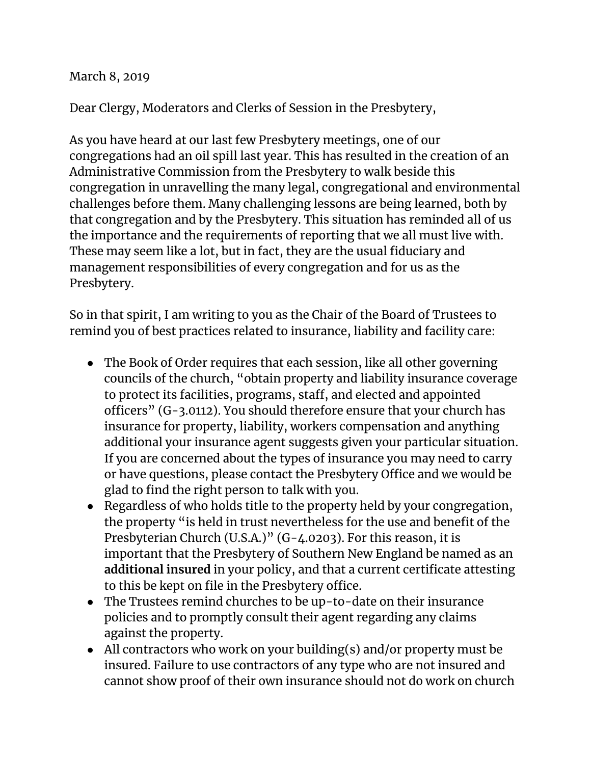March 8, 2019

Dear Clergy, Moderators and Clerks of Session in the Presbytery,

As you have heard at our last few Presbytery meetings, one of our congregations had an oil spill last year. This has resulted in the creation of an Administrative Commission from the Presbytery to walk beside this congregation in unravelling the many legal, congregational and environmental challenges before them. Many challenging lessons are being learned, both by that congregation and by the Presbytery. This situation has reminded all of us the importance and the requirements of reporting that we all must live with. These may seem like a lot, but in fact, they are the usual fiduciary and management responsibilities of every congregation and for us as the Presbytery.

So in that spirit, I am writing to you as the Chair of the Board of Trustees to remind you of best practices related to insurance, liability and facility care:

- The Book of Order requires that each session, like all other governing councils of the church, "obtain property and liability insurance coverage to protect its facilities, programs, staff, and elected and appointed officers" (G-3.0112). You should therefore ensure that your church has insurance for property, liability, workers compensation and anything additional your insurance agent suggests given your particular situation. If you are concerned about the types of insurance you may need to carry or have questions, please contact the Presbytery Office and we would be glad to find the right person to talk with you.
- Regardless of who holds title to the property held by your congregation, the property "is held in trust nevertheless for the use and benefit of the Presbyterian Church (U.S.A.)" (G-4.0203). For this reason, it is important that the Presbytery of Southern New England be named as an **additional insured** in your policy, and that a current certificate attesting to this be kept on file in the Presbytery office.
- The Trustees remind churches to be up-to-date on their insurance policies and to promptly consult their agent regarding any claims against the property.
- All contractors who work on your building(s) and/or property must be insured. Failure to use contractors of any type who are not insured and cannot show proof of their own insurance should not do work on church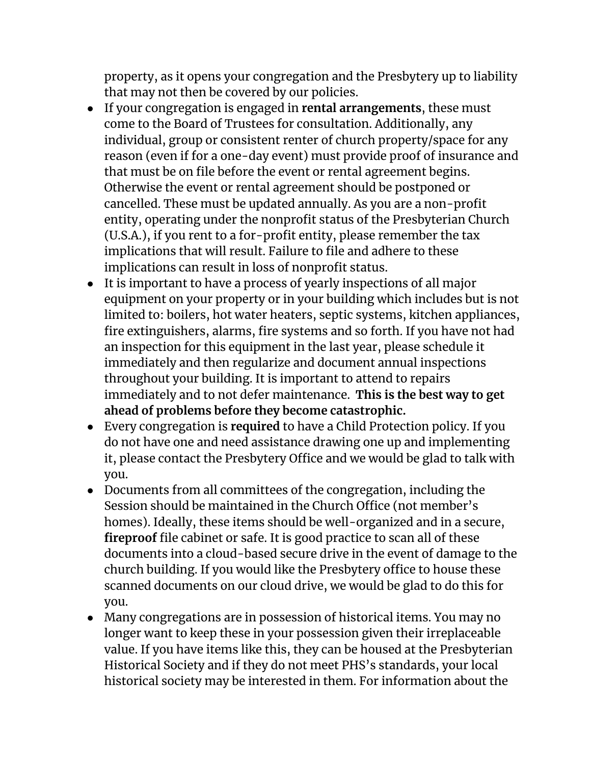property, as it opens your congregation and the Presbytery up to liability that may not then be covered by our policies.

- If your congregation is engaged in **rental arrangements**, these must come to the Board of Trustees for consultation. Additionally, any individual, group or consistent renter of church property/space for any reason (even if for a one-day event) must provide proof of insurance and that must be on file before the event or rental agreement begins. Otherwise the event or rental agreement should be postponed or cancelled. These must be updated annually. As you are a non-profit entity, operating under the nonprofit status of the Presbyterian Church (U.S.A.), if you rent to a for-profit entity, please remember the tax implications that will result. Failure to file and adhere to these implications can result in loss of nonprofit status.
- It is important to have a process of yearly inspections of all major equipment on your property or in your building which includes but is not limited to: boilers, hot water heaters, septic systems, kitchen appliances, fire extinguishers, alarms, fire systems and so forth. If you have not had an inspection for this equipment in the last year, please schedule it immediately and then regularize and document annual inspections throughout your building. It is important to attend to repairs immediately and to not defer maintenance. **This is the best way to get ahead of problems before they become catastrophic.**
- Every congregation is **required** to have a Child Protection policy. If you do not have one and need assistance drawing one up and implementing it, please contact the Presbytery Office and we would be glad to talk with you.
- Documents from all committees of the congregation, including the Session should be maintained in the Church Office (not member's homes). Ideally, these items should be well-organized and in a secure, **fireproof** file cabinet or safe. It is good practice to scan all of these documents into a cloud-based secure drive in the event of damage to the church building. If you would like the Presbytery office to house these scanned documents on our cloud drive, we would be glad to do this for you.
- Many congregations are in possession of historical items. You may no longer want to keep these in your possession given their irreplaceable value. If you have items like this, they can be housed at the Presbyterian Historical Society and if they do not meet PHS's standards, your local historical society may be interested in them. For information about the